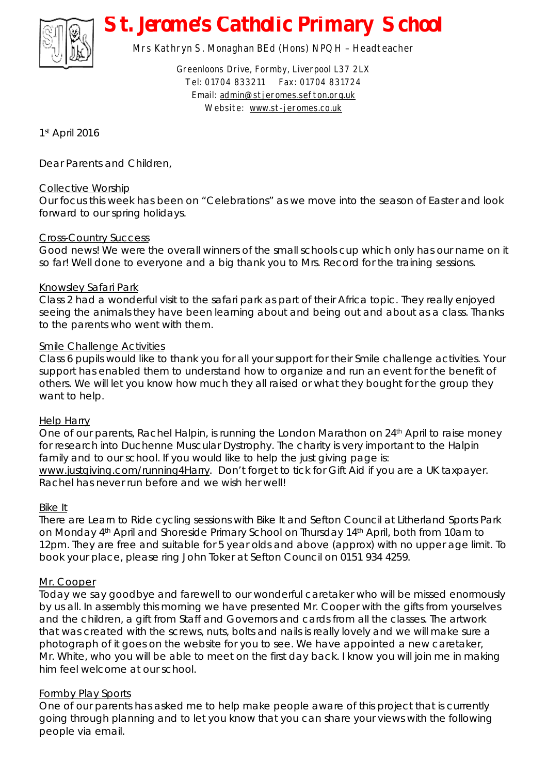

# *St. Jerome's Catholic Primary School*

Mrs Kathryn S. Monaghan BEd (Hons) NPQH – Headteacher

Greenloons Drive, Formby, Liverpool L37 2LX Tel: 01704 833211 Fax: 01704 831724 Email: [admin@stjeromes.sefton.org.uk](mailto:admin@stjeromes.sefton.org.uk) Website: [www.st-jeromes.co.uk](http://www.st-jeromes.co.uk)

1 st April 2016

Dear Parents and Children,

## Collective Worship

Our focus this week has been on "Celebrations" as we move into the season of Easter and look forward to our spring holidays.

## Cross-Country Success

Good news! We were the overall winners of the small schools cup which only has our name on it so far! Well done to everyone and a big thank you to Mrs. Record for the training sessions.

#### Knowsley Safari Park

Class 2 had a wonderful visit to the safari park as part of their Africa topic. They really enjoyed seeing the animals they have been learning about and being out and about as a class. Thanks to the parents who went with them.

### Smile Challenge Activities

Class 6 pupils would like to thank you for all your support for their Smile challenge activities. Your support has enabled them to understand how to organize and run an event for the benefit of others. We will let you know how much they all raised or what they bought for the group they want to help.

#### Help Harry

One of our parents, Rachel Halpin, is running the London Marathon on 24<sup>th</sup> April to raise money for research into Duchenne Muscular Dystrophy. The charity is very important to the Halpin family and to our school. If you would like to help the just giving page is: [www.justgiving.com/running4Harry.](http://www.justgiving.com/running4Harry) Don't forget to tick for Gift Aid if you are a UK taxpayer. Rachel has never run before and we wish her well!

#### Bike It

There are Learn to Ride cycling sessions with Bike It and Sefton Council at Litherland Sports Park on Monday 4th April and Shoreside Primary School on Thursday 14th April, both from 10am to 12pm. They are free and suitable for 5 year olds and above (approx) with no upper age limit. To book your place, please ring John Toker at Sefton Council on 0151 934 4259.

#### Mr. Cooper

Today we say goodbye and farewell to our wonderful caretaker who will be missed enormously by us all. In assembly this morning we have presented Mr. Cooper with the gifts from yourselves and the children, a gift from Staff and Governors and cards from all the classes. The artwork that was created with the screws, nuts, bolts and nails is really lovely and we will make sure a photograph of it goes on the website for you to see. We have appointed a new caretaker, Mr. White, who you will be able to meet on the first day back. I know you will join me in making him feel welcome at our school.

## Formby Play Sports

One of our parents has asked me to help make people aware of this project that is currently going through planning and to let you know that you can share your views with the following people via email.